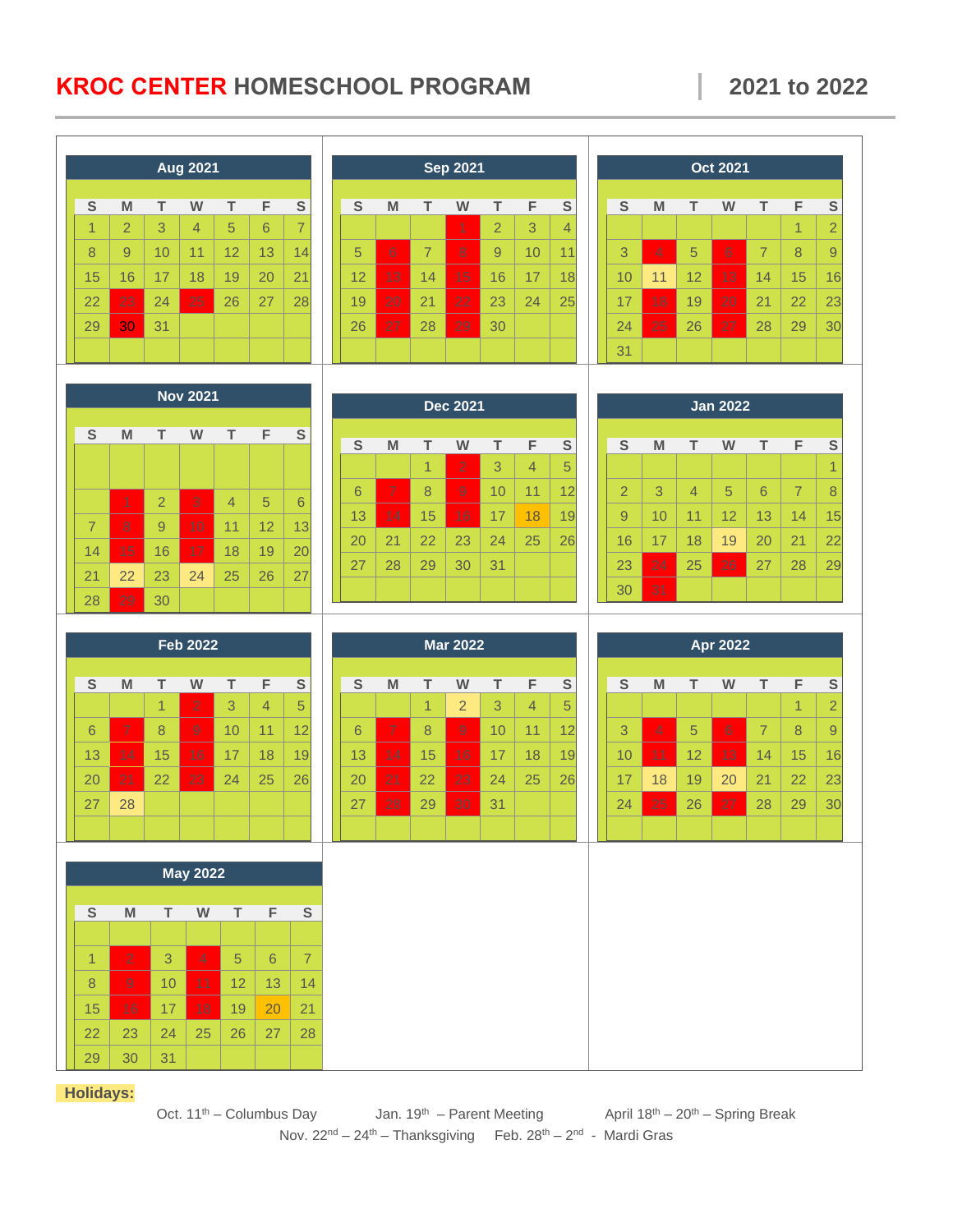## **KROC CENTER HOMESCHOOL PROGRAM 2021 to 2022**

| <b>Aug 2021</b> |                                                                                                            |                |                 |                | <b>Sep 2021</b> |                         |  |                 |                |                |                | <b>Oct 2021</b> |                |                |                 |                |                |                |                |                |                |                |
|-----------------|------------------------------------------------------------------------------------------------------------|----------------|-----------------|----------------|-----------------|-------------------------|--|-----------------|----------------|----------------|----------------|-----------------|----------------|----------------|-----------------|----------------|----------------|----------------|----------------|----------------|----------------|----------------|
| S               | M                                                                                                          | T              | W               | $\top$         | F               | $\mathsf{S}$            |  | S               | M              | $\top$         | W              | $\top$          | F              | S              |                 | $\mathsf{s}$   | M              | т              | W              | T.             | F              | ${\mathbb S}$  |
| 1               | $\overline{2}$                                                                                             | 3              | $\overline{4}$  | 5              | 6               | $\overline{7}$          |  |                 |                |                | 1              | $\overline{2}$  | 3              | $\overline{4}$ |                 |                |                |                |                |                | $\overline{1}$ | $\overline{2}$ |
| 8               | 9                                                                                                          | 10             | 11              | 12             | 13              | 14                      |  | 5               | $6 \,$         | $\overline{7}$ | 8              | 9               | 10             | 11             |                 | 3              | $\overline{4}$ | 5              | $6 \,$         | $\overline{7}$ | 8              | 9              |
| 15              | 16                                                                                                         | 17             | 18              | 19             | 20              | 21                      |  | 12              | 13             | 14             | 15             | 16              | 17             | 18             |                 | 10             | 11             | 12             | 13             | 14             | 15             | 16             |
| 22              | 23                                                                                                         | 24             | 25              | 26             | 27              | 28                      |  | 19              | 20             | 21             | 22             | 23              | 24             | 25             |                 | 17             | 18             | 19             | 20             | 21             | 22             | 23             |
| 29              | 30                                                                                                         | 31             |                 |                |                 |                         |  | 26              | 27             | 28             | 29             | 30              |                |                |                 | 24             | 25             | 26             | 27             | 28             | 29             | 30             |
|                 |                                                                                                            |                |                 |                |                 |                         |  |                 |                |                |                |                 |                |                |                 | 31             |                |                |                |                |                |                |
| <b>Nov 2021</b> |                                                                                                            |                |                 |                |                 |                         |  |                 |                |                |                |                 |                |                |                 |                |                |                |                |                |                |                |
|                 |                                                                                                            |                |                 |                |                 |                         |  | <b>Dec 2021</b> |                |                |                |                 |                |                | <b>Jan 2022</b> |                |                |                |                |                |                |                |
| S               | M                                                                                                          | т              | W               | т              | F               | $\overline{\mathbf{s}}$ |  | S               | M              | т              | W              | т               | F              | S              |                 | S              | M              | т              | W              | т              | F              | ${\mathbb S}$  |
|                 |                                                                                                            |                |                 |                |                 |                         |  |                 |                | $\overline{1}$ | $\overline{2}$ | 3               | $\overline{4}$ | 5              |                 |                |                |                |                |                |                | $\overline{1}$ |
|                 |                                                                                                            |                |                 |                |                 |                         |  | 6               | $\overline{7}$ | 8              | $\overline{9}$ | 10              | 11             | 12             |                 | $\overline{2}$ | 3              | $\overline{4}$ | 5              | 6              | $\overline{7}$ | 8              |
|                 | 1                                                                                                          | $\overline{2}$ | 3               | $\overline{4}$ | 5               | 6                       |  | 13              | 14             | 15             | 16             | 17              | 18             | 19             |                 | 9              | 10             | 11             | 12             | 13             | 14             | 15             |
| $\overline{7}$  | $\overline{8}$                                                                                             | 9              | 10              | 11             | 12              | 13                      |  | 20              | 21             | 22             | 23             | 24              | 25             | 26             |                 | 16             | 17             | 18             | 19             | 20             | 21             | 22             |
| 14              | 15                                                                                                         | 16             | 17              | 18             | 19              | 20                      |  | 27              | 28             | 29             | 30             | 31              |                |                |                 | 23             | 24             | 25             | 26             | 27             | 28             | 29             |
| 21<br>28        | 22<br>29                                                                                                   | 23<br>30       | 24              | 25             | 26              | 27                      |  |                 |                |                |                |                 |                |                |                 | 30             | 31             |                |                |                |                |                |
|                 |                                                                                                            |                |                 |                |                 |                         |  |                 |                |                |                |                 |                |                |                 |                |                |                |                |                |                |                |
|                 |                                                                                                            |                | <b>Feb 2022</b> |                |                 |                         |  | <b>Mar 2022</b> |                |                |                |                 |                |                | <b>Apr 2022</b> |                |                |                |                |                |                |                |
|                 |                                                                                                            |                |                 |                |                 |                         |  | S               |                |                |                |                 |                |                |                 |                |                |                |                |                |                | ${\sf S}$      |
| S               | M                                                                                                          | T.             | W               | $\top$         | F               | S                       |  |                 | M              | T              | W              | T.              | F              | S              |                 | S              | M              | T.             | W              | т              | F              |                |
|                 |                                                                                                            | 1              | $\overline{2}$  | 3              | $\overline{4}$  | 5                       |  |                 |                | $\overline{1}$ | $\overline{2}$ | 3               | $\overline{4}$ | 5              |                 |                |                |                |                |                | $\overline{1}$ | $\overline{2}$ |
| 6               | $\overline{7}$                                                                                             | 8              | $\overline{9}$  | 10             | 11              | 12                      |  | 6               | $\overline{7}$ | 8              | $\overline{9}$ | 10              | 11             | 12             |                 | 3              | $\overline{4}$ | 5              | 6 <sup>1</sup> | $\overline{7}$ | 8              | $\overline{9}$ |
| 13              | 14                                                                                                         | 15             | 16              | 17             | 18              | 19                      |  | 13              | 14             | 15             | 16             | 17              | 18             | 19             |                 | 10             | 11             | 12             | 13             | 14             | 15             | 16             |
| 20              | 21                                                                                                         | 22             | 23              | 24             | 25              | 26                      |  | 20              | 21             | 22             | 23             | 24              | 25             | 26             |                 | 17             | 18             | 19             | 20             | 21             | 22             | 23             |
| 27              | 28                                                                                                         |                |                 |                |                 |                         |  | 27              | 28             | 29             | 30             | 31              |                |                |                 | 24             | 25             | 26             | 27             | 28             | 29             | 30             |
|                 |                                                                                                            |                |                 |                |                 |                         |  |                 |                |                |                |                 |                |                |                 |                |                |                |                |                |                |                |
|                 |                                                                                                            |                |                 |                |                 |                         |  |                 |                |                |                |                 |                |                |                 |                |                |                |                |                |                |                |
|                 |                                                                                                            |                | <b>May 2022</b> |                |                 |                         |  |                 |                |                |                |                 |                |                |                 |                |                |                |                |                |                |                |
| ${\sf S}$       | $\mathsf{M}% _{T}=\mathsf{M}_{T}\!\left( a,b\right) ,\ \mathsf{M}_{T}=\mathsf{M}_{T}\!\left( a,b\right) ,$ | T.             | W               | T.             | F               | ${\mathsf S}$           |  |                 |                |                |                |                 |                |                |                 |                |                |                |                |                |                |                |
|                 |                                                                                                            |                |                 |                |                 |                         |  |                 |                |                |                |                 |                |                |                 |                |                |                |                |                |                |                |
| $\mathbf{1}$    | $\overline{2}$                                                                                             | 3              | $\overline{4}$  | 5              | 6               | $\overline{7}$          |  |                 |                |                |                |                 |                |                |                 |                |                |                |                |                |                |                |
| 8               | $\overline{9}$                                                                                             | 10             | 11              | 12             | 13              | 14                      |  |                 |                |                |                |                 |                |                |                 |                |                |                |                |                |                |                |
| 15              | 16                                                                                                         | 17             | 18              | 19             | 20              | 21                      |  |                 |                |                |                |                 |                |                |                 |                |                |                |                |                |                |                |
| 22              | 23                                                                                                         | 24             | 25              | 26             | 27              | 28                      |  |                 |                |                |                |                 |                |                |                 |                |                |                |                |                |                |                |

## **Holidays:**

Oct.  $11^{\text{th}}$  – Columbus Day Jan.  $19^{\text{th}}$  – Parent Meeting April  $18^{\text{th}}$  –  $20^{\text{th}}$  – Spring Break Nov. 22<sup>nd</sup> – 24<sup>th</sup> – Thanksgiving Feb. 28<sup>th</sup> – 2<sup>nd</sup> - Mardi Gras